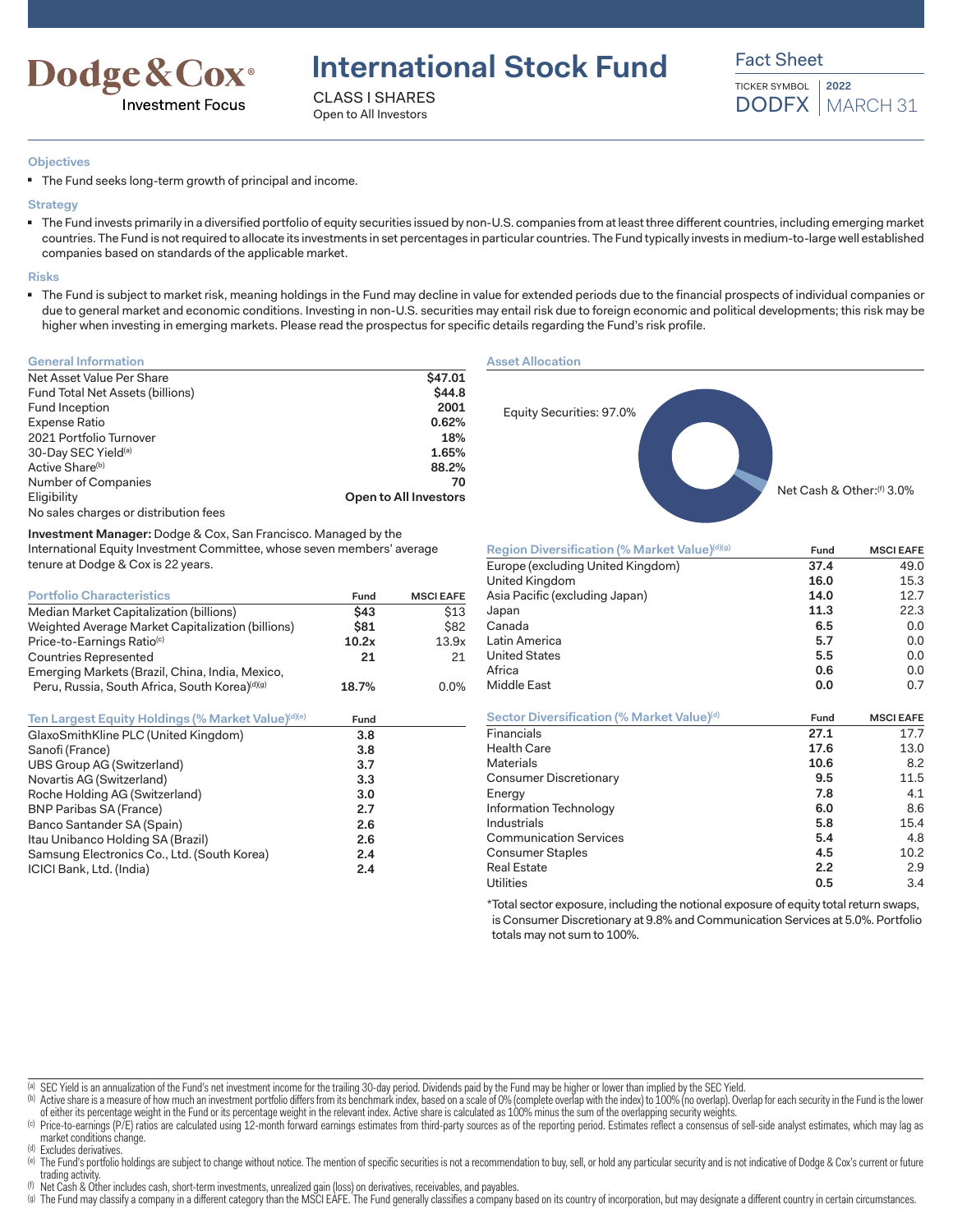

**International Stock Fund**

CLASS I SHARES Open to All Investors

Fact Sheet TICKER SYMBOL **2022**

DODFX | MARCH 31

**Objectives**

■ The Fund seeks long-term growth of principal and income.

### **Strategy**

■ The Fund invests primarily in a diversified portfolio of equity securities issued by non-U.S. companies from at least three different countries, including emerging market countries. The Fund is not required to allocate its investments in set percentages in particular countries. The Fund typically invests in medium-to-large well established companies based on standards of the applicable market.

#### **Risks**

■ The Fund is subject to market risk, meaning holdings in the Fund may decline in value for extended periods due to the financial prospects of individual companies or due to general market and economic conditions. Investing in non-U.S. securities may entail risk due to foreign economic and political developments; this risk may be higher when investing in emerging markets. Please read the prospectus for specific details regarding the Fund's risk profile.

| <b>General Information</b>            |                       |
|---------------------------------------|-----------------------|
| Net Asset Value Per Share             | \$47.01               |
| Fund Total Net Assets (billions)      | \$44.8                |
| Fund Inception                        | 2001                  |
| Expense Ratio                         | 0.62%                 |
| 2021 Portfolio Turnover               | 18%                   |
| 30-Day SEC Yield <sup>(a)</sup>       | 1.65%                 |
| Active Share <sup>(b)</sup>           | 88.2%                 |
| Number of Companies                   | 70                    |
| Eligibility                           | Open to All Investors |
| No sales charges or distribution fees |                       |

**Investment Manager:** Dodge & Cox, San Francisco. Managed by the International Equity Investment Committee, whose seven members' average tenure at Dodge & Cox is 22 years.

| <b>Portfolio Characteristics</b>                                                | Fund        | <b>MSCI EAFE</b> |
|---------------------------------------------------------------------------------|-------------|------------------|
| Median Market Capitalization (billions)                                         | \$43        | \$13             |
| Weighted Average Market Capitalization (billions)                               | \$81        | \$82             |
| Price-to-Earnings Ratio <sup>(c)</sup>                                          | 10.2x       | 13.9x            |
| <b>Countries Represented</b><br>Emerging Markets (Brazil, China, India, Mexico, | 21          | 21               |
| Peru, Russia, South Africa, South Korea)(d)(g)                                  | 18.7%       | 0.0%             |
| Ten Largest Fourty Holdings (% Market Value)(d)(e)                              | <b>Fund</b> |                  |

| GlaxoSmithKline PLC (United Kingdom)        | 3.8 |  |
|---------------------------------------------|-----|--|
| Sanofi (France)                             | 3.8 |  |
| UBS Group AG (Switzerland)                  | 3.7 |  |
| Novartis AG (Switzerland)                   | 3.3 |  |
| Roche Holding AG (Switzerland)              | 3.0 |  |
| <b>BNP Paribas SA (France)</b>              | 2.7 |  |
| Banco Santander SA (Spain)                  | 2.6 |  |
| Itau Unibanco Holding SA (Brazil)           | 2.6 |  |
| Samsung Electronics Co., Ltd. (South Korea) | 2.4 |  |
| ICICI Bank, Ltd. (India)                    | 2.4 |  |
|                                             |     |  |

**Asset Allocation**



| Region Diversification (% Market Value)(d)(g) | Fund | <b>MSCI EAFE</b> |
|-----------------------------------------------|------|------------------|
| Europe (excluding United Kingdom)             | 37.4 | 49.0             |
| United Kingdom                                | 16.0 | 15.3             |
| Asia Pacific (excluding Japan)                | 14.0 | 12.7             |
| Japan                                         | 11.3 | 22.3             |
| Canada                                        | 6.5  | 0.0              |
| Latin America                                 | 5.7  | 0.0              |
| <b>United States</b>                          | 5.5  | 0.0              |
| Africa                                        | 0.6  | 0.0              |
| <b>Middle East</b>                            | 0.0  | 0.7              |
| Sector Diversification (% Market Value)(d)    | Fund | <b>MSCI EAFE</b> |
| Financials                                    | 27.1 | 17.7             |
| <b>Health Care</b>                            | 17.6 | 13.0             |
| <b>Materials</b>                              | 10.6 | 8.2              |
| Consumer Discretionary                        | 9.5  | 11.5             |
| Energy                                        | 7.8  | 4.1              |
| Information Technology                        | 6.0  | 8.6              |
| Industrials                                   | 5.8  | 15.4             |
| <b>Communication Services</b>                 | 5.4  | 4.8              |
| <b>Consumer Staples</b>                       | 4.5  | 10.2             |
| <b>Real Estate</b>                            | 2.2  | 2.9              |
| <b>Utilities</b>                              | 0.5  | 3.4              |

\*Total sector exposure, including the notional exposure of equity total return swaps, is Consumer Discretionary at 9.8% and Communication Services at 5.0%. Portfolio totals may not sum to 100%.

(a) SEC Yield is an annualization of the Fund's net investment income for the trailing 30-day period. Dividends paid by the Fund may be higher or lower than implied by the SEC Yield.

- (b) Active share is a measure of how much an investment portfolio differs from its benchmark index, based on a scale of 0% (complete overlap with the index) to 100% (no overlap). Overlap for each security in the Fund is th of either its percentage weight in the Fund or its percentage weight in the relevant index. Active share is calculated as 100% minus the sum of the overlapping security weights.
- (c) Price-to-earnings (P/E) ratios are calculated using 12-month forward earnings estimates from third-party sources as of the reporting period. Estimates reflect a consensus of sell-side analyst estimates, which may lag a market conditions change.
- (d) Excludes derivatives.

(e) The Fund's portfolio holdings are subject to change without notice. The mention of specific securities is not a recommendation to buy, sell, or hold any particular security and is not indicative of Dodge & Cox's curren trading activity

(f) Net Cash & Other includes cash, short-term investments, unrealized gain (loss) on derivatives, receivables, and payables.

(g) The Fund may classify a company in a different category than the MSCI EAFE. The Fund generally classifies a company based on its country of incorporation, but may designate a different country in certain circumstances.